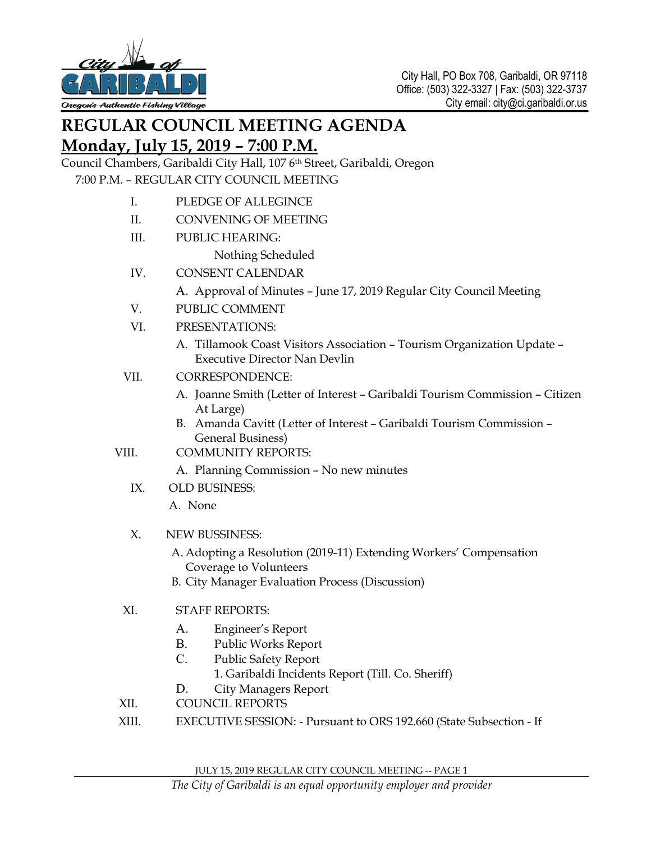

# **REGULAR COUNCIL MEETING AGENDA**

## **Monday, July 15, 2019 – 7:00 P.M.**

Council Chambers, Garibaldi City Hall, 107 6th Street, Garibaldi, Oregon 7:00 P.M. – REGULAR CITY COUNCIL MEETING

- I. PLEDGE OF ALLEGINCE
- II. CONVENING OF MEETING
- III. PUBLIC HEARING:
	- Nothing Scheduled
- IV. CONSENT CALENDAR
	- A. Approval of Minutes June 17, 2019 Regular City Council Meeting
- V. PUBLIC COMMENT
- VI. PRESENTATIONS:
	- A. Tillamook Coast Visitors Association Tourism Organization Update Executive Director Nan Devlin
- VII. CORRESPONDENCE:
	- A. Joanne Smith (Letter of Interest Garibaldi Tourism Commission Citizen At Large)
	- B. Amanda Cavitt (Letter of Interest Garibaldi Tourism Commission General Business)
- VIII. COMMUNITY REPORTS:
	- A. Planning Commission No new minutes
	- IX. OLD BUSINESS:

A. None

- X. NEW BUSSINESS:
	- A. Adopting a Resolution (2019-11) Extending Workers' Compensation Coverage to Volunteers
	- B. City Manager Evaluation Process (Discussion)

### XI. STAFF REPORTS:

- A. Engineer's Report
- B. Public Works Report
- C. Public Safety Report
	- 1. Garibaldi Incidents Report (Till. Co. Sheriff)
- D. City Managers Report
- XII. COUNCIL REPORTS
- XIII. EXECUTIVE SESSION: Pursuant to ORS 192.660 (State Subsection If